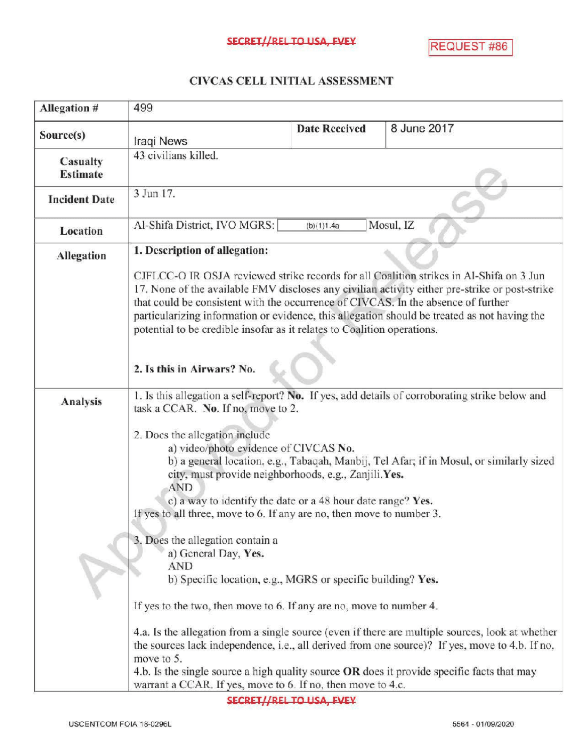## CIVCASCELLINITIALASSESSMENT

| Allegation #                | 499                                                                                                                                                                                                                                                                                                                                                                                                                                                       |                      |                                                                                                                                                                                                    |
|-----------------------------|-----------------------------------------------------------------------------------------------------------------------------------------------------------------------------------------------------------------------------------------------------------------------------------------------------------------------------------------------------------------------------------------------------------------------------------------------------------|----------------------|----------------------------------------------------------------------------------------------------------------------------------------------------------------------------------------------------|
| Source(s)                   | Iraqi News                                                                                                                                                                                                                                                                                                                                                                                                                                                | <b>Date Received</b> | 8 June 2017                                                                                                                                                                                        |
| Casualty<br><b>Estimate</b> | 43 civilians killed.                                                                                                                                                                                                                                                                                                                                                                                                                                      |                      |                                                                                                                                                                                                    |
| <b>Incident Date</b>        | 3 Jun 17.                                                                                                                                                                                                                                                                                                                                                                                                                                                 |                      |                                                                                                                                                                                                    |
| <b>Location</b>             | Al-Shifa District, IVO MGRS:<br>Mosul, IZ<br>(b)(1)1.4a                                                                                                                                                                                                                                                                                                                                                                                                   |                      |                                                                                                                                                                                                    |
| <b>Allegation</b>           | 1. Description of allegation:                                                                                                                                                                                                                                                                                                                                                                                                                             |                      |                                                                                                                                                                                                    |
|                             | CJFLCC-O IR OSJA reviewed strike records for all Coalition strikes in Al-Shifa on 3 Jun<br>17. None of the available FMV discloses any civilian activity either pre-strike or post-strike<br>that could be consistent with the occurrence of CIVCAS. In the absence of further<br>particularizing information or evidence, this allegation should be treated as not having the<br>potential to be credible insofar as it relates to Coalition operations. |                      |                                                                                                                                                                                                    |
|                             | 2. Is this in Airwars? No.                                                                                                                                                                                                                                                                                                                                                                                                                                |                      |                                                                                                                                                                                                    |
| Analysis                    | 1. Is this allegation a self-report? No. If yes, add details of corroborating strike below and<br>task a CCAR. No. If no, move to 2.                                                                                                                                                                                                                                                                                                                      |                      |                                                                                                                                                                                                    |
|                             | 2. Docs the allegation include<br>a) video/photo evidence of CIVCAS No.<br>b) a general location, e.g., Tabaqah, Manbij, Tel Afar; if in Mosul, or similarly sized<br>city, must provide neighborhoods, e.g., Zanjili.Yes.<br><b>AND</b><br>c) a way to identify the date or a 48 hour date range? Yes.<br>If yes to all three, move to 6. If any are no, then move to number 3.                                                                          |                      |                                                                                                                                                                                                    |
|                             | 3. Does the allegation contain a<br>a) General Day, Yes.<br>AND<br>b) Specific location, e.g., MGRS or specific building? Yes.<br>If yes to the two, then move to 6. If any are no, move to number 4.                                                                                                                                                                                                                                                     |                      |                                                                                                                                                                                                    |
|                             | move to 5.<br>4.b. Is the single source a high quality source OR does it provide specific facts that may<br>warrant a CCAR. If yes, move to 6. If no, then move to 4.c.                                                                                                                                                                                                                                                                                   |                      | 4.a. Is the allegation from a single source (even if there are multiple sources, look at whether<br>the sources lack independence, i.e., all derived from one source)? If yes, move to 4.b. If no, |

SECRET//REL TO USA, FVEY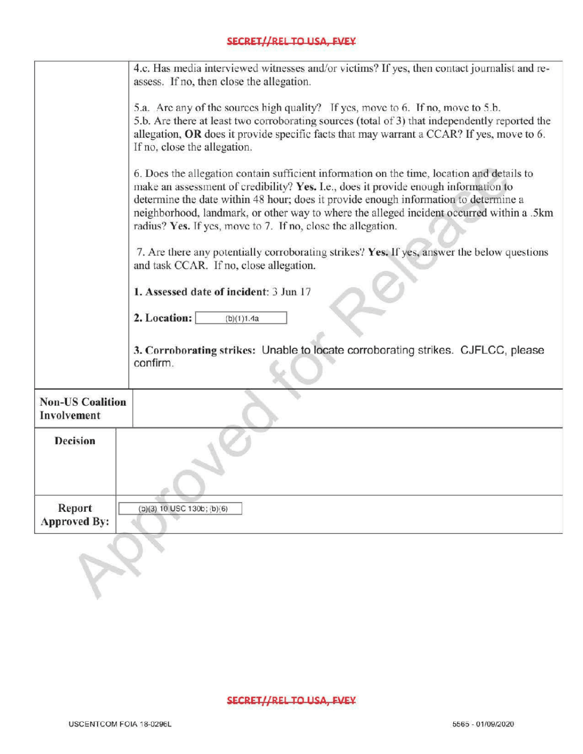|                                        | 4.c. Has media interviewed witnesses and/or victims? If yes, then contact journalist and re-<br>assess. If no, then close the allegation.                                                                                                                                                                                                                                                                                              |  |  |
|----------------------------------------|----------------------------------------------------------------------------------------------------------------------------------------------------------------------------------------------------------------------------------------------------------------------------------------------------------------------------------------------------------------------------------------------------------------------------------------|--|--|
|                                        | 5.a. Are any of the sources high quality? If yes, move to 6. If no, move to 5.b.<br>5.b. Are there at least two corroborating sources (total of 3) that independently reported the<br>allegation, OR does it provide specific facts that may warrant a CCAR? If yes, move to 6.<br>If no, close the allegation.                                                                                                                        |  |  |
|                                        | 6. Does the allegation contain sufficient information on the time, location and details to<br>make an assessment of credibility? Yes. I.e., does it provide enough information to<br>determine the date within 48 hour; does it provide enough information to determine a<br>neighborhood, landmark, or other way to where the alleged incident occurred within a .5km<br>radius? Yes. If yes, move to 7. If no, close the allegation. |  |  |
|                                        | 7. Are there any potentially corroborating strikes? Yes. If yes, answer the below questions<br>and task CCAR. If no, close allegation.                                                                                                                                                                                                                                                                                                 |  |  |
| 1. Assessed date of incident: 3 Jun 17 |                                                                                                                                                                                                                                                                                                                                                                                                                                        |  |  |
|                                        | 2. Location:<br>(b)(1)1.4a                                                                                                                                                                                                                                                                                                                                                                                                             |  |  |
|                                        | 3. Corroborating strikes: Unable to locate corroborating strikes. CJFLCC, please<br>confirm.                                                                                                                                                                                                                                                                                                                                           |  |  |
| <b>Non-US Coalition</b><br>Involvement |                                                                                                                                                                                                                                                                                                                                                                                                                                        |  |  |
| <b>Decision</b>                        |                                                                                                                                                                                                                                                                                                                                                                                                                                        |  |  |
| Report<br><b>Approved By:</b>          | $(b)(3)$ 10 USC 130b; $(b)(6)$                                                                                                                                                                                                                                                                                                                                                                                                         |  |  |
|                                        |                                                                                                                                                                                                                                                                                                                                                                                                                                        |  |  |